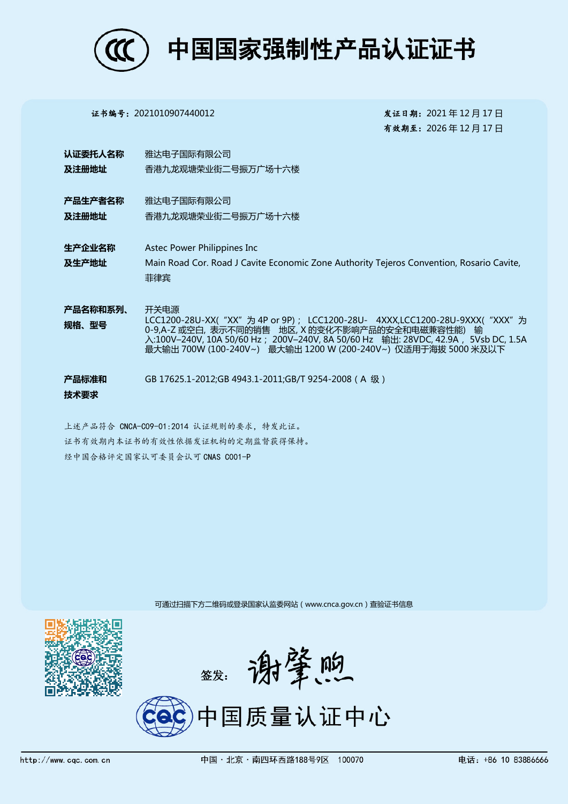

证书编号:2021010907440012 发证日期:2021 年 12 月 17 日

有效期至:2026 年 12 月 17 日

- 认证委托人名称 及注册地址 雅达电子国际有限公司 香港九龙观塘荣业街二号振万广场十六楼
- 产品生产者名称 及注册地址 雅达电子国际有限公司 香港九龙观塘荣业街二号振万广场十六楼
- 生产企业名称 及生产地址 Astec Power Philippines Inc Main Road Cor. Road J Cavite Economic Zone Authority Tejeros Convention, Rosario Cavite, 菲律宾
- 产品名称和系列、 规格、型号 开关电源 LCC1200-28U-XX( "XX" 为 4P or 9P); LCC1200-28U- 4XXX,LCC1200-28U-9XXX( "XXX" 为 0-9,A-Z 或空白, 表示不同的销售 地区, X 的变化不影响产品的安全和电磁兼容性能) 输 入:100V–240V, 10A 50/60 Hz; 200V–240V, 8A 50/60 Hz 输出: 28VDC, 42.9A, 5Vsb DC, 1.5A 最大输出 700W (100-240V~) 最大输出 1200 W (200-240V~) 仅适用于海拔 5000 米及以下
- 产品标准和 技术要求 GB 17625.1-2012;GB 4943.1-2011;GB/T 9254-2008(A 级)
- 上述产品符合 CNCA-C09-01:2014 认证规则的要求,特发此证。 证书有效期内本证书的有效性依据发证机构的定期监督获得保持。 经中国合格评定国家认可委员会认可 CNAS C001-P

可通过扫描下方二维码或登录国家认监委网站(www.cnca.gov.cn)查验证书信息